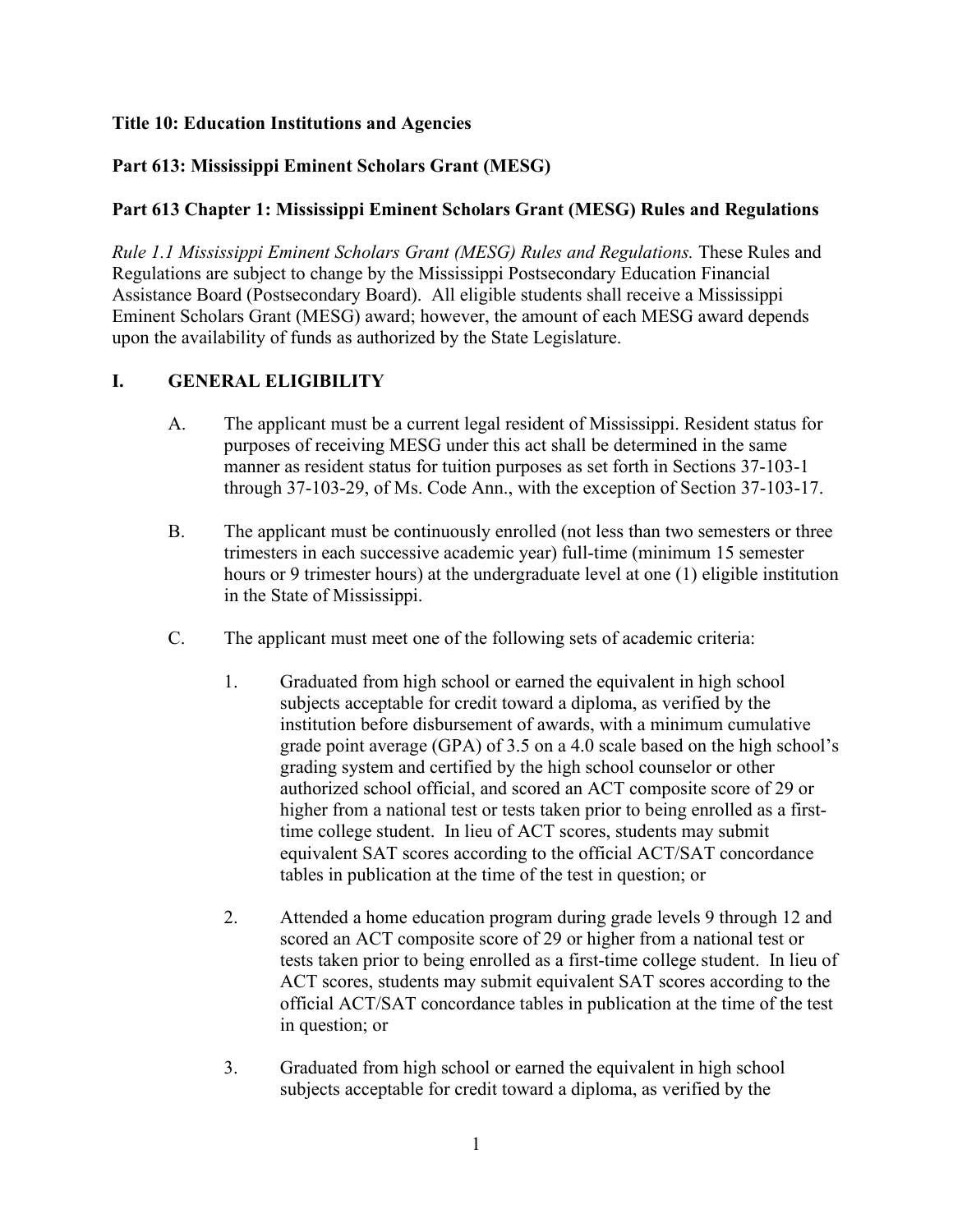### **Title 10: Education Institutions and Agencies**

## **Part 613: Mississippi Eminent Scholars Grant (MESG)**

### **Part 613 Chapter 1: Mississippi Eminent Scholars Grant (MESG) Rules and Regulations**

*Rule 1.1 Mississippi Eminent Scholars Grant (MESG) Rules and Regulations. These Rules and* Regulations are subject to change by the Mississippi Postsecondary Education Financial Assistance Board (Postsecondary Board). All eligible students shall receive a Mississippi Eminent Scholars Grant (MESG) award; however, the amount of each MESG award depends upon the availability of funds as authorized by the State Legislature.

# **I. GENERAL ELIGIBILITY**

- A. The applicant must be a current legal resident of Mississippi. Resident status for purposes of receiving MESG under this act shall be determined in the same manner as resident status for tuition purposes as set forth in Sections 37-103-1 through 37-103-29, of Ms. Code Ann., with the exception of Section 37-103-17.
- B. The applicant must be continuously enrolled (not less than two semesters or three trimesters in each successive academic year) full-time (minimum 15 semester hours or 9 trimester hours) at the undergraduate level at one (1) eligible institution in the State of Mississippi.
- C. The applicant must meet one of the following sets of academic criteria:
	- 1. Graduated from high school or earned the equivalent in high school subjects acceptable for credit toward a diploma, as verified by the institution before disbursement of awards, with a minimum cumulative grade point average (GPA) of 3.5 on a 4.0 scale based on the high school's grading system and certified by the high school counselor or other authorized school official, and scored an ACT composite score of 29 or higher from a national test or tests taken prior to being enrolled as a firsttime college student. In lieu of ACT scores, students may submit equivalent SAT scores according to the official ACT/SAT concordance tables in publication at the time of the test in question; or
	- 2. Attended a home education program during grade levels 9 through 12 and scored an ACT composite score of 29 or higher from a national test or tests taken prior to being enrolled as a first-time college student. In lieu of ACT scores, students may submit equivalent SAT scores according to the official ACT/SAT concordance tables in publication at the time of the test in question; or
	- 3. Graduated from high school or earned the equivalent in high school subjects acceptable for credit toward a diploma, as verified by the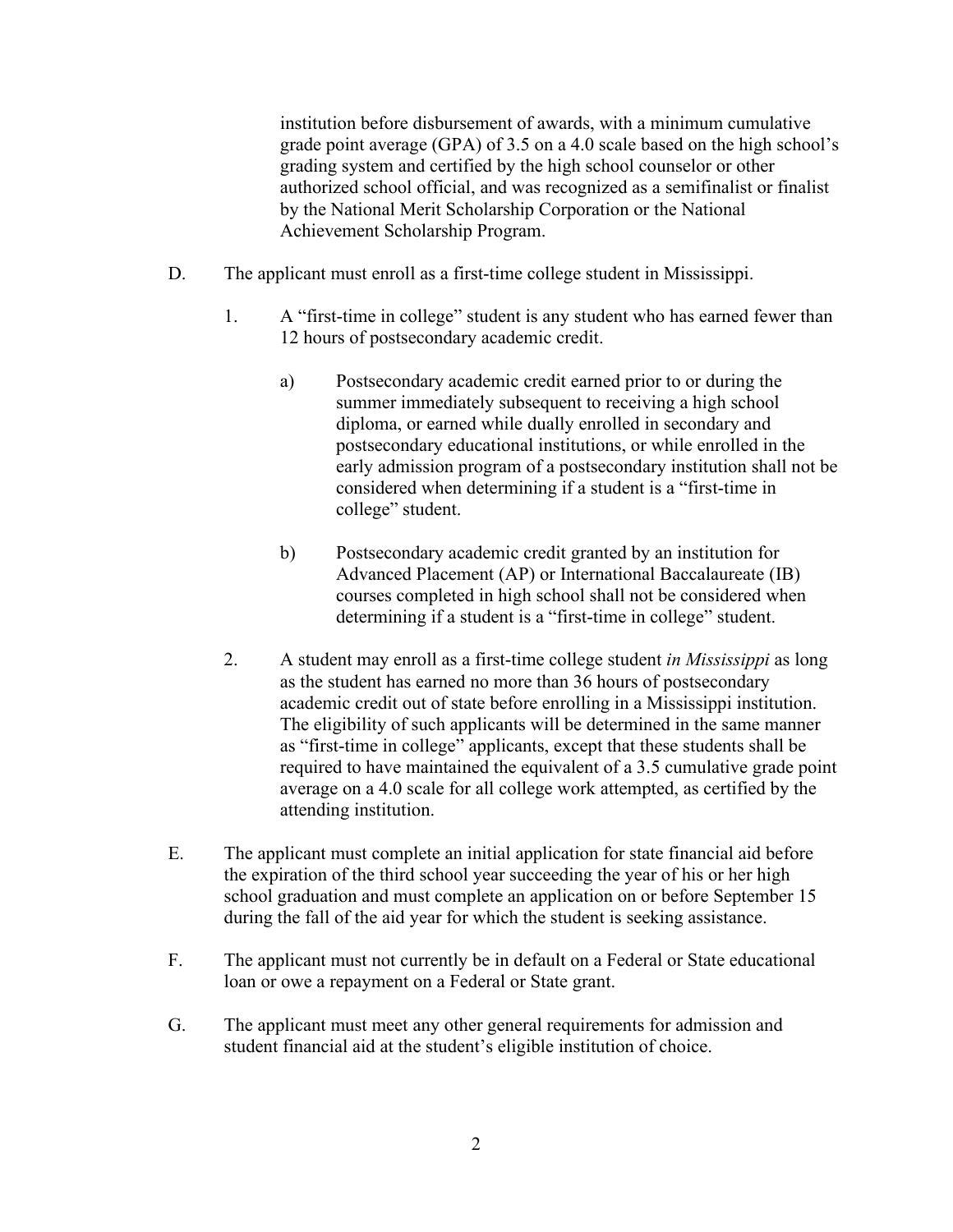institution before disbursement of awards, with a minimum cumulative grade point average (GPA) of 3.5 on a 4.0 scale based on the high school's grading system and certified by the high school counselor or other authorized school official, and was recognized as a semifinalist or finalist by the National Merit Scholarship Corporation or the National Achievement Scholarship Program.

- D. The applicant must enroll as a first-time college student in Mississippi.
	- 1. A "first-time in college" student is any student who has earned fewer than 12 hours of postsecondary academic credit.
		- a) Postsecondary academic credit earned prior to or during the summer immediately subsequent to receiving a high school diploma, or earned while dually enrolled in secondary and postsecondary educational institutions, or while enrolled in the early admission program of a postsecondary institution shall not be considered when determining if a student is a "first-time in college" student.
		- b) Postsecondary academic credit granted by an institution for Advanced Placement (AP) or International Baccalaureate (IB) courses completed in high school shall not be considered when determining if a student is a "first-time in college" student.
	- 2. A student may enroll as a first-time college student *in Mississippi* as long as the student has earned no more than 36 hours of postsecondary academic credit out of state before enrolling in a Mississippi institution. The eligibility of such applicants will be determined in the same manner as "first-time in college" applicants, except that these students shall be required to have maintained the equivalent of a 3.5 cumulative grade point average on a 4.0 scale for all college work attempted, as certified by the attending institution.
- E. The applicant must complete an initial application for state financial aid before the expiration of the third school year succeeding the year of his or her high school graduation and must complete an application on or before September 15 during the fall of the aid year for which the student is seeking assistance.
- F. The applicant must not currently be in default on a Federal or State educational loan or owe a repayment on a Federal or State grant.
- G. The applicant must meet any other general requirements for admission and student financial aid at the student's eligible institution of choice.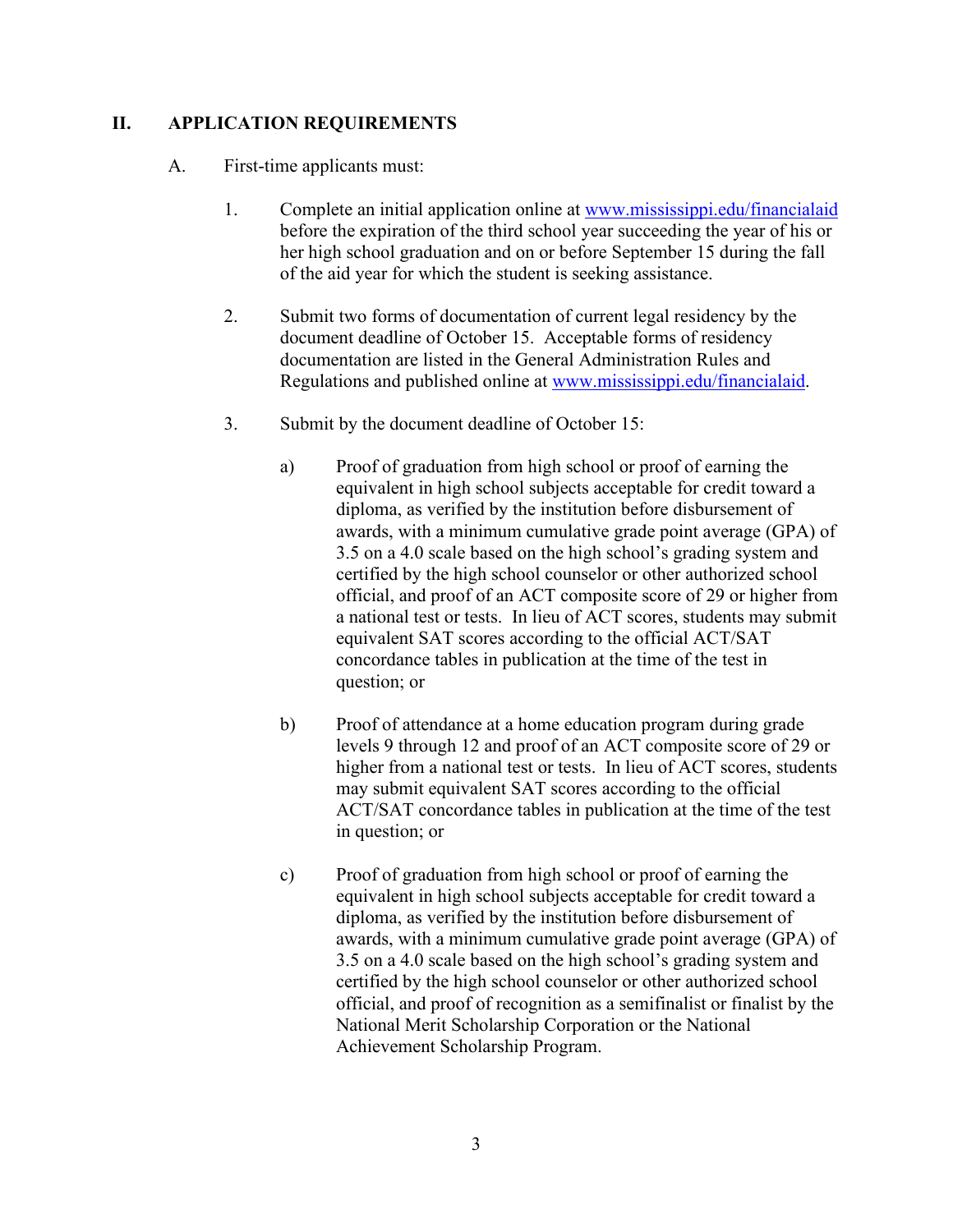### **II. APPLICATION REQUIREMENTS**

- A. First-time applicants must:
	- 1. Complete an initial application online at [www.mississippi.edu/financialaid](http://www.mississippi.edu/financialaid) before the expiration of the third school year succeeding the year of his or her high school graduation and on or before September 15 during the fall of the aid year for which the student is seeking assistance.
	- 2. Submit two forms of documentation of current legal residency by the document deadline of October 15. Acceptable forms of residency documentation are listed in the General Administration Rules and Regulations and published online at [www.mississippi.edu/financialaid.](http://www.mississippi.edu/financialaid)
	- 3. Submit by the document deadline of October 15:
		- a) Proof of graduation from high school or proof of earning the equivalent in high school subjects acceptable for credit toward a diploma, as verified by the institution before disbursement of awards, with a minimum cumulative grade point average (GPA) of 3.5 on a 4.0 scale based on the high school's grading system and certified by the high school counselor or other authorized school official, and proof of an ACT composite score of 29 or higher from a national test or tests. In lieu of ACT scores, students may submit equivalent SAT scores according to the official ACT/SAT concordance tables in publication at the time of the test in question; or
		- b) Proof of attendance at a home education program during grade levels 9 through 12 and proof of an ACT composite score of 29 or higher from a national test or tests. In lieu of ACT scores, students may submit equivalent SAT scores according to the official ACT/SAT concordance tables in publication at the time of the test in question; or
		- c) Proof of graduation from high school or proof of earning the equivalent in high school subjects acceptable for credit toward a diploma, as verified by the institution before disbursement of awards, with a minimum cumulative grade point average (GPA) of 3.5 on a 4.0 scale based on the high school's grading system and certified by the high school counselor or other authorized school official, and proof of recognition as a semifinalist or finalist by the National Merit Scholarship Corporation or the National Achievement Scholarship Program.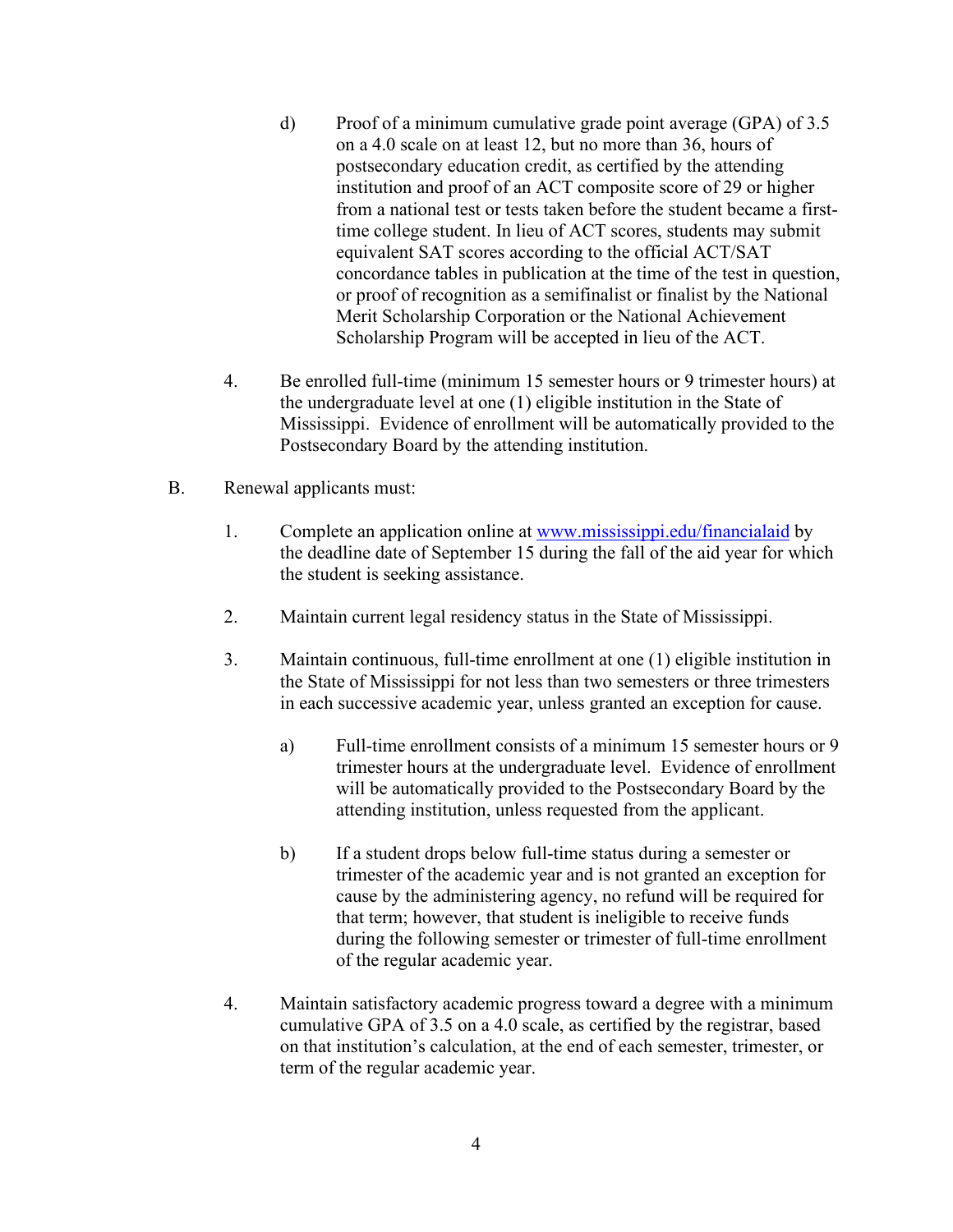- d) Proof of a minimum cumulative grade point average (GPA) of 3.5 on a 4.0 scale on at least 12, but no more than 36, hours of postsecondary education credit, as certified by the attending institution and proof of an ACT composite score of 29 or higher from a national test or tests taken before the student became a firsttime college student. In lieu of ACT scores, students may submit equivalent SAT scores according to the official ACT/SAT concordance tables in publication at the time of the test in question, or proof of recognition as a semifinalist or finalist by the National Merit Scholarship Corporation or the National Achievement Scholarship Program will be accepted in lieu of the ACT.
- 4. Be enrolled full-time (minimum 15 semester hours or 9 trimester hours) at the undergraduate level at one (1) eligible institution in the State of Mississippi. Evidence of enrollment will be automatically provided to the Postsecondary Board by the attending institution.
- B. Renewal applicants must:
	- 1. Complete an application online at [www.mississippi.edu/financialaid](http://www.mississippi.edu/financialaid) by the deadline date of September 15 during the fall of the aid year for which the student is seeking assistance.
	- 2. Maintain current legal residency status in the State of Mississippi.
	- 3. Maintain continuous, full-time enrollment at one (1) eligible institution in the State of Mississippi for not less than two semesters or three trimesters in each successive academic year, unless granted an exception for cause.
		- a) Full-time enrollment consists of a minimum 15 semester hours or 9 trimester hours at the undergraduate level. Evidence of enrollment will be automatically provided to the Postsecondary Board by the attending institution, unless requested from the applicant.
		- b) If a student drops below full-time status during a semester or trimester of the academic year and is not granted an exception for cause by the administering agency, no refund will be required for that term; however, that student is ineligible to receive funds during the following semester or trimester of full-time enrollment of the regular academic year.
	- 4. Maintain satisfactory academic progress toward a degree with a minimum cumulative GPA of 3.5 on a 4.0 scale, as certified by the registrar, based on that institution's calculation, at the end of each semester, trimester, or term of the regular academic year.